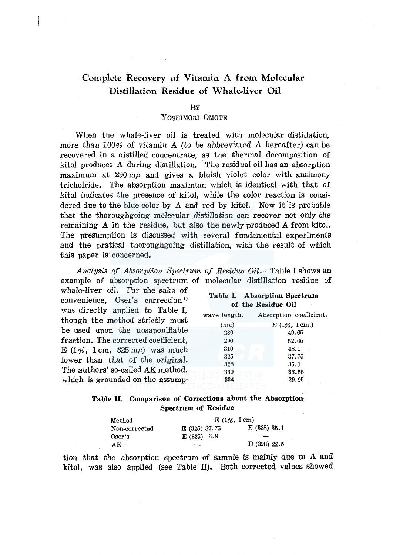# Complete Recovery of Vitamin A from Molecular Distillation Residue of Whale-liver Oil

#### **BY**

## YOSHIMORI 0MOTE

When the whale-liver oil is treated with molecular distillation. more than 100% of vitamin *A* (to be abbreviated *A* hereafter) can be recovered in a distilled concentrate, as the thermal decomposition of kitol produces A during distillation. The residual oil has an absorption maximum at  $290 \text{ m}$  and gives a bluish violet color with antimony tricholride. The absorption maximum which is identical with that of kitol indicates the presence of kitol, while the color reaction is considered due to the blue color by A and red by kitol. Now it is probable that the thoroughgoing molecular distillation can recover not only the remaining A in the residue, but also the newly produced *A* from kitol. The presumption is discussed with several fundamental experiments and the pratical thoroughgoing distillation, with the result of which this paper is concerned.

Analysis of Absorption Spectrum of Residue Oil.-Table I shows an example of absorption spectrum of molecular distillation residue of

whale-liver oil. For the sake of convenience, Oser's correction<sup>1)</sup> was directly applied to Table I, though the method strictly must be used upon the unsaponifiable fraction. The corrected coefficient, E (1%, 1 cm,  $325 \text{ m}/4$ ) was much lower than that of the original. The authors' so-called AK method, which is grounded on the assump-

|  | Table I. Absorption Spectrum |                    |  |  |
|--|------------------------------|--------------------|--|--|
|  |                              | of the Residue Oil |  |  |

| wave length, | Absorption coefficient, |
|--------------|-------------------------|
| $(m\mu)$     | $E(1\%, 1cm.)$          |
| 280          | 49.65                   |
| 290          | 52.05                   |
| 310          | 48.1                    |
| 325          | 37.75                   |
| 328          | 35.1                    |
| 330          | 33.55                   |
| 334          | 29.95                   |

## Table II. Comparison of Corrections about the Absorption Spectrum of Residue

| Method        | $E(1\%, 1cm)$ |              |
|---------------|---------------|--------------|
| Non-corrected | E (325) 37.75 | E(328)35.1   |
| Oser's        | $E(325)$ 6.8  | --           |
| AK            |               | E (328) 22.5 |

tion that the absorption spectrum of sample is mainly due to *A* and kitol, was also applied (see Table II). Both corrected values showed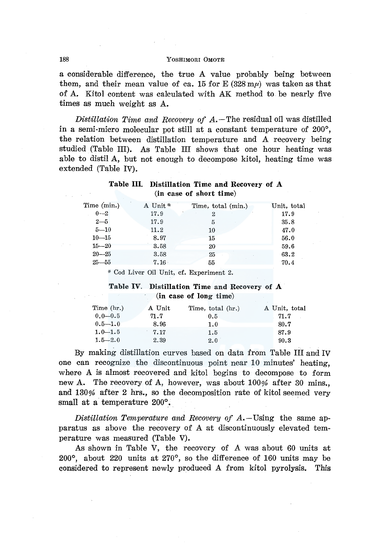#### 188 YOSHIMORI 0MOTE

a considerable difference, the true A value probably being between them, and their mean value of ca. 15 for  $E(328 \text{ m}\mu)$  was taken as that of A. Kitol content was calculated with AK method to be nearly five times as much weight as A.

*Distillation Time and Recovery of A.*-The residual oil was distilled in a semi-micro molecular pot still at a constant temperature of 200°, the relation between distillation temperature and *A* recovery being studied (Table III). As Table III shows that one hour heating was able to distil A, but not enough to decompose kitol, heating time was extended (Table IV).

## Table III. Distillation Time and Recovery of A (in case of short time)

| Time (min.) | A Unit * | Time, total (min.) | Unit, total |
|-------------|----------|--------------------|-------------|
| $0 - 2$     | 17.9     | $\boldsymbol{2}$   | 17.9        |
| $2 - 5$     | 17.9     | 5                  | 35.8        |
| $5 - 10$    | 11.2     | 10                 | 47.0        |
| $10 - 15$   | 8.97     | 15                 | 56.0        |
| $15 - 20$   | 3.58     | 20                 | 59.6        |
| $20 - 25$   | 3.58     | 25                 | 63.2        |
| $25 - 55$   | 7.16     | 55                 | 70.4        |

\* Cod Liver Oil Unit, cf. Experiment 2.

## Table IV. Distillation Time and Recovery of A (in case of long time)

| Time $(hr.)$ | A Unit | Time, total (hr.) | A Unit, total |
|--------------|--------|-------------------|---------------|
| $0.0 - 0.5$  | 71.7   | 0.5               | 71.7          |
| $0.5 - 1.0$  | 8.96   | 1.0               | 80.7          |
| $1.0 - 1.5$  | 7.17   | 1.5               | 87.9          |
| $1.5 - 2.0$  | 2.39   | 2.0               | 90.3          |

By making distillation curves based on data from Table III and IV one can recognize the discontinuous point near 10 minutes' heating, where A is almost recovered and kitol begins to decompose to form new A. The recovery of A, however, was about 100% after 30 mins. and 130% after 2 hrs., so the decomposition rate of kitol seemed very small at a temperature 200°.

*Distillation Temperature and Recovery of A.* – Using the same apparatus as above the recovery of A at discontinuously elevated temperature was measured (Table V).

As shown in Table V, the recovery of *A* was about 60 units at 200°, about 220 units at 270°, so the difference of 160 units may be considered to represent newly produced A from kitol pyrolysis. This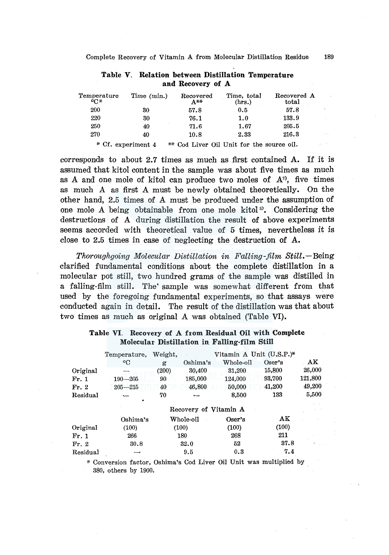| Temperature<br>°C* | Time (min.)        | Recovered<br>A**                          | Time, total<br>(hrs.) | Recovered A<br>total |
|--------------------|--------------------|-------------------------------------------|-----------------------|----------------------|
| 200                | 30                 | 57.8                                      | 0.5                   | 57.8                 |
| 220                | 30                 | 76.1                                      | 1.0                   | 133.9                |
| 250                | 40                 | 71.6                                      | 1.67                  | 205.5                |
| 270                | 40                 | 10.8                                      | 2.33                  | 216.3                |
|                    | * Cf. experiment 4 | ** Cod Liver Oil Unit for the source oil. |                       |                      |

**Table V. Relation between Distillation Temperature and Recovery of A** 

corresponds to about 2.7 times as much as first contained A. If it is assumed that kitol content in the sample was about five times as much as A and one mole of kitol can produce two moles of  $A<sup>2</sup>$ , five times as much A as first A must be newly obtained theoretically. On the other hand, 2.5 times of A must be produced under the assumption of one mole *A* being obtainable from one mole kitol 3). Considering the destructions of A during distillation the result of above experiments seems accorded with theoretical value of 5 times, nevertheless it is close to 2.5 times in case of neglecting the destruction of A.

*Thoroughgoing Molecular Distillation in Falling-film* Still.-Being clarified fundamental conditions about the complete distillation in a molecular pot still, two hundred grams of the sample was distilled in a falling-film still. The' sample was somewhat different from that used by the foregoing fundamental experiments, so that assays were conducted again in detail. The result of the distillation was that about two times as much as original *A* was obtained (Table VI).

|          | Temperature,          | Weight, |             | Vitamin A Unit (U.S.P.)* |        |         |
|----------|-----------------------|---------|-------------|--------------------------|--------|---------|
|          | ۰C                    | g       | Oshima's    | Whole-oil                | Oser's | AK      |
| Original | ---                   | (200)   | 30,400      | 31,200                   | 15,800 | 26,000  |
| Fr. 1    | $190 - 205$           | 90      | 185,000     | 124,000                  | 93,700 | 121,800 |
| Fr. 2    | $205 - 215$           | 40      | 46,800      | 50,000                   | 41,200 | 49,200  |
| Residual |                       | 70      |             | 8,500                    | 133    | 5,500   |
|          |                       |         |             |                          |        |         |
|          | Recovery of Vitamin A |         |             |                          |        |         |
|          | Oshima's              |         | Whole-oil   | Oser's                   | AK     |         |
| Original | (100)                 |         | (100)       | (100)                    | (100)  |         |
| Fr. 1    | 266                   |         | $180 \cdot$ | 268                      | 211    |         |
| Fr. 2    | 30.8                  |         | 32.0        | 52                       | 37.8   |         |
| Residual |                       |         | 9.5         | 0.3                      | 7.4    |         |

### **Table VI. Recovery of A from Residual Oil with Complete Molecular Distillation in Falling-film Still**

\* Conversion factor, Oshima's Cod Liver Oil Unit was multiplied by 380, others by 1900.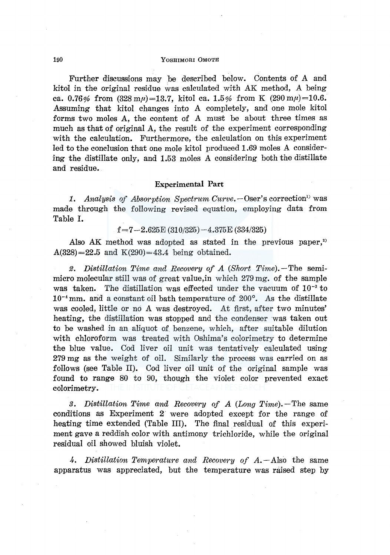#### 190 YOSHIMORI 0MOTE

Further discussions may be described below. Contents of A and kitol in the original residue was calculated with AK method, *A* being ca. 0.76% from  $(328 \text{ m}\mu) = 13.7$ , kitol ca. 1.5% from K  $(290 \text{ m}\mu) = 10.6$ . Assuming that kitol changes into *A* completely, and one mole kitol forms two moles A, the content of *A* must be about three times as much as that of original A, the result of the experiment corresponding with the calculation. Furthermore, the calculation on this experiment led to the conclusion that one mole kitol produced 1.69 moles *A* considering the distillate only, and 1.53 moles A considering both the distillate and residue.

## Experimental Part

1. Analysis of Absorption Spectrum Curve. - Oser's correction<sup>1</sup> was made through the following revised equation, employing data from Table I.

 $f=7-2.625E(310/325)-4.375E(334/325)$ 

Also AK method was adopted as stated in the previous paper,<sup>2)</sup>  $A(328) = 22.5$  and  $K(290) = 43.4$  being obtained.

*2. Distillation Time and Recovery of A (Short Time).-The* semimicro molecular still was of great value,in which 279 mg. of the sample was taken. The distillation was effected under the vacuum of  $10^{-3}$  to  $10^{-4}$  mm. and a constant oil bath temperature of  $200^{\circ}$ . As the distillate was cooled, little or no A was destroyed. At first, after two minutes' heating, the distillation was stopped and the condenser was taken out to be washed in an aliquot of benzene, which, after suitable dilution with chloroform was treated with Oshima's colorimetry to determine the blue value. Cod liver oil unit was tentatively calculated using 279 mg as the weight of oil. Similarly the process was carried on as follows (see Table II). Cod liver oil unit of the original sample was found to range 80 to 90, though the violet color prevented exact colorimetry.

*3. Distillation Time and Recovery of A (Long Time).-The* same conditions as Experiment 2 were adopted except for the range of heating time extended (Table III). The final residual of this experiment gave a reddish color with antimony trichloride, while the original residual oil showed bluish violet.

4. Distillation Temperature and Recovery of A. - Also the same apparatus was appreciated, but the temperature was raised step by